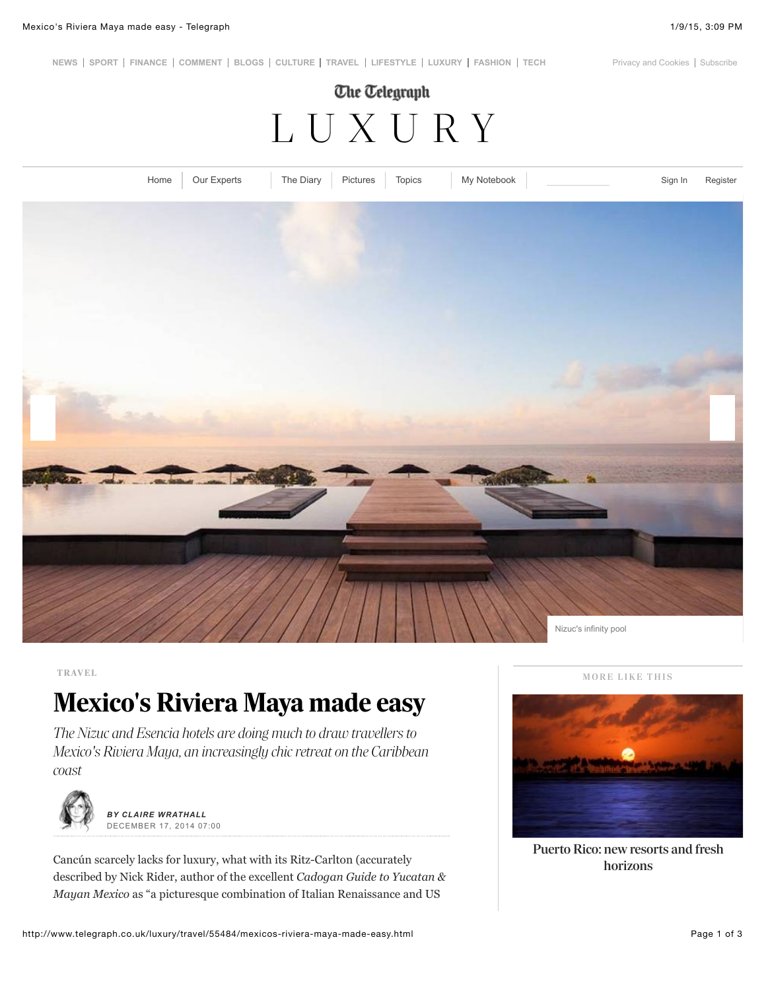**[N](http://www.telegraph.co.uk/)[EWS](http://www.telegraph.co.uk/news/) [SPORT](http://www.telegraph.co.uk/sport) [FINANCE](http://www.telegraph.co.uk/finance) [COMMENT](http://www.telegraph.co.uk/comment) [BLOGS](http://blogs.telegraph.co.uk/) [CULTURE](http://www.telegraph.co.uk/culture) [TRAVEL](http://www.telegraph.co.uk/travel) [LIFESTYLE](http://www.telegraph.co.uk/lifestyle/) [LUXURY](http://www.telegraph.co.uk/luxury/) [FASHION](http://fashion.telegraph.co.uk/) [TECH](http://www.telegraph.co.uk/technology/)** [Privacy and Cookies](http://www.telegraph.co.uk/topics/about-us/3691972/Privacy-and-Cookie-Policy.html) [Subscribe](http://www.telegraph.co.uk/subscription)

## **The Telegraph** [LUXURY](http://www.telegraph.co.uk/luxury/)



**TRAVEL**

## **Mexico's Riviera Maya made easy**

*The Nizuc and Esencia hotels are doing much to draw travellers to Mexico's Riviera Maya, an increasingly chic retreat on the Caribbean coast*



*BY CLAIRE WRATHALL* DECEMBER 17, 2014 07:00

Cancún scarcely lacks for luxury, what with its Ritz-Carlton (accurately described by Nick Rider, author of the excellent *Cadogan Guide to Yucatan & Mayan Mexico* as "a picturesque combination of Italian Renaissance and US





[Puerto Rico: new resorts and fresh](http://www.telegraph.co.uk/luxury/travel/3124/puerto-rico-new-resorts-and-fresh-horizons.html) horizons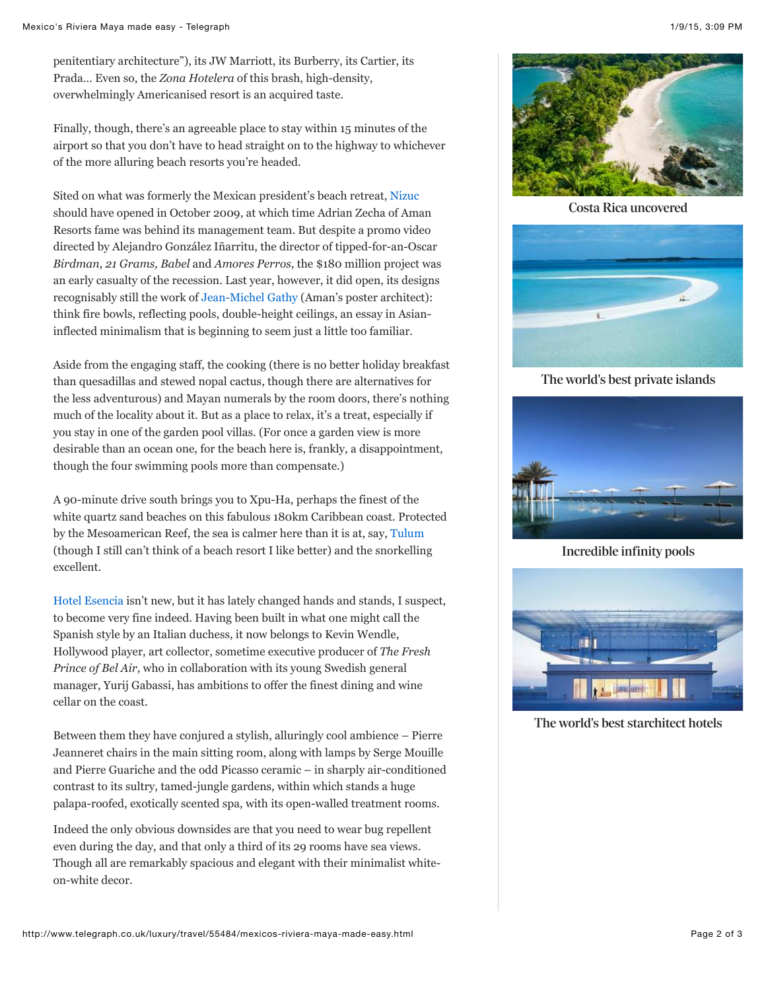penitentiary architecture"), its JW Marriott, its Burberry, its Cartier, its Prada… Even so, the *Zona Hotelera* of this brash, high-density, overwhelmingly Americanised resort is an acquired taste.

Finally, though, there's an agreeable place to stay within 15 minutes of the airport so that you don't have to head straight on to the highway to whichever of the more alluring beach resorts you're headed.

Sited on what was formerly the Mexican president's beach retreat, [Nizuc](http://www.nizuc.com/#nf) should have opened in October 2009, at which time Adrian Zecha of Aman Resorts fame was behind its management team. But despite a promo video directed by Alejandro González Iñarritu, the director of tipped-for-an-Oscar *Birdman*, *21 Grams, Babel* and *Amores Perros*, the \$180 million project was an early casualty of the recession. Last year, however, it did open, its designs recognisably still the work of [Jean-Michel Gathy](http://www.telegraph.co.uk/luxury/travel/30144/jean-michel-gathy-living-the-dream.html) (Aman's poster architect): think fire bowls, reflecting pools, double-height ceilings, an essay in Asianinflected minimalism that is beginning to seem just a little too familiar.

Aside from the engaging staff, the cooking (there is no better holiday breakfast than quesadillas and stewed nopal cactus, though there are alternatives for the less adventurous) and Mayan numerals by the room doors, there's nothing much of the locality about it. But as a place to relax, it's a treat, especially if you stay in one of the garden pool villas. (For once a garden view is more desirable than an ocean one, for the beach here is, frankly, a disappointment, though the four swimming pools more than compensate.)

A 90-minute drive south brings you to Xpu-Ha, perhaps the finest of the white quartz sand beaches on this fabulous 180km Caribbean coast. Protected by the Mesoamerican Reef, the sea is calmer here than it is at, say, [Tulum](http://www.telegraph.co.uk/luxury/travel/15669/tulums-culinary-appeal-is-simple.html) (though I still can't think of a beach resort I like better) and the snorkelling excellent.

[Hotel Esencia](http://hotelesencia.com/) isn't new, but it has lately changed hands and stands, I suspect, to become very fine indeed. Having been built in what one might call the Spanish style by an Italian duchess, it now belongs to Kevin Wendle, Hollywood player, art collector, sometime executive producer of *The Fresh Prince of Bel Air*, who in collaboration with its young Swedish general manager, Yurij Gabassi, has ambitions to offer the finest dining and wine cellar on the coast.

Between them they have conjured a stylish, alluringly cool ambience – Pierre Jeanneret chairs in the main sitting room, along with lamps by Serge Mouille and Pierre Guariche and the odd Picasso ceramic – in sharply air-conditioned contrast to its sultry, tamed-jungle gardens, within which stands a huge palapa-roofed, exotically scented spa, with its open-walled treatment rooms.

Indeed the only obvious downsides are that you need to wear bug repellent even during the day, and that only a third of its 29 rooms have sea views. Though all are remarkably spacious and elegant with their minimalist whiteon-white decor.



[Costa Rica uncovered](http://www.telegraph.co.uk/luxury/travel/36508/costa-rica-uncovered.html)



[The world's best private islands](http://www.telegraph.co.uk/luxury/travel/12458/the-worlds-best-private-islands.html)



[Incredible infinity pools](http://www.telegraph.co.uk/luxury/travel/5626/incredible-infinity-pools-around-the-world.html)



[The world's best starchitect hotels](http://www.telegraph.co.uk/luxury/travel/30989/the-worlds-best-starchitect-hotels.html)